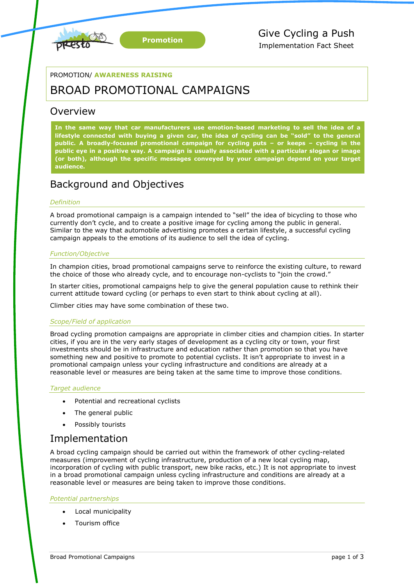

## PROMOTION/ **AWARENESS RAISING**

# BROAD PROMOTIONAL CAMPAIGNS

# Overview

**In the same way that car manufacturers use emotion-based marketing to sell the idea of a lifestyle connected with buying a given car, the idea of cycling can be "sold" to the general public. A broadly-focused promotional campaign for cycling puts – or keeps – cycling in the public eye in a positive way. A campaign is usually associated with a particular slogan or image (or both), although the specific messages conveyed by your campaign depend on your target audience.**

# Background and Objectives

## *Definition*

A broad promotional campaign is a campaign intended to "sell" the idea of bicycling to those who currently don't cycle, and to create a positive image for cycling among the public in general. Similar to the way that automobile advertising promotes a certain lifestyle, a successful cycling campaign appeals to the emotions of its audience to sell the idea of cycling.

## *Function/Objective*

In champion cities, broad promotional campaigns serve to reinforce the existing culture, to reward the choice of those who already cycle, and to encourage non-cyclists to "join the crowd."

In starter cities, promotional campaigns help to give the general population cause to rethink their current attitude toward cycling (or perhaps to even start to think about cycling at all).

Climber cities may have some combination of these two.

## *Scope/Field of application*

Broad cycling promotion campaigns are appropriate in climber cities and champion cities. In starter cities, if you are in the very early stages of development as a cycling city or town, your first investments should be in infrastructure and education rather than promotion so that you have something new and positive to promote to potential cyclists. It isn't appropriate to invest in a promotional campaign unless your cycling infrastructure and conditions are already at a reasonable level or measures are being taken at the same time to improve those conditions.

## *Target audience*

- Potential and recreational cyclists
- The general public
- Possibly tourists

# Implementation

A broad cycling campaign should be carried out within the framework of other cycling-related measures (improvement of cycling infrastructure, production of a new local cycling map, incorporation of cycling with public transport, new bike racks, etc.) It is not appropriate to invest in a broad promotional campaign unless cycling infrastructure and conditions are already at a reasonable level or measures are being taken to improve those conditions.

## *Potential partnerships*

- Local municipality
- Tourism office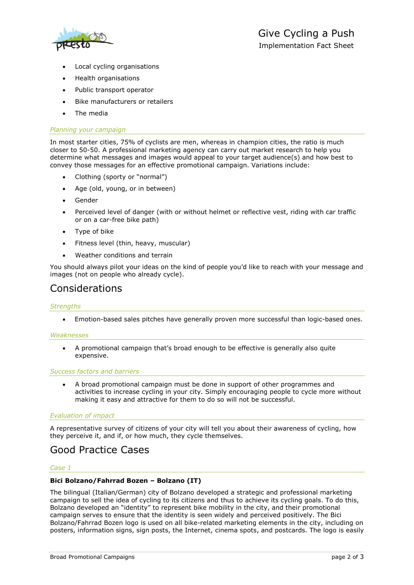

- Local cycling organisations
- Health organisations
- Public transport operator
- Bike manufacturers or retailers
- The media

#### *Planning your campaign*

In most starter cities, 75% of cyclists are men, whereas in champion cities, the ratio is much closer to 50-50. A professional marketing agency can carry out market research to help you determine what messages and images would appeal to your target audience(s) and how best to convey those messages for an effective promotional campaign. Variations include:

- Clothing (sporty or "normal")
- Age (old, young, or in between)
- Gender
- Perceived level of danger (with or without helmet or reflective vest, riding with car traffic or on a car-free bike path)
- Type of bike
- Fitness level (thin, heavy, muscular)
- Weather conditions and terrain

You should always pilot your ideas on the kind of people you'd like to reach with your message and images (not on people who already cycle).

# Considerations

#### *Strengths*

Emotion-based sales pitches have generally proven more successful than logic-based ones.

#### *Weaknesses*

 A promotional campaign that's broad enough to be effective is generally also quite expensive.

#### *Success factors and barriers*

 A broad promotional campaign must be done in support of other programmes and activities to increase cycling in your city. Simply encouraging people to cycle more without making it easy and attractive for them to do so will not be successful.

#### *Evaluation of impact*

A representative survey of citizens of your city will tell you about their awareness of cycling, how they perceive it, and if, or how much, they cycle themselves.

# Good Practice Cases

#### *Case 1*

#### **Bici Bolzano/Fahrrad Bozen – Bolzano (IT)**

The bilingual (Italian/German) city of Bolzano developed a strategic and professional marketing campaign to sell the idea of cycling to its citizens and thus to achieve its cycling goals. To do this, Bolzano developed an "identity" to represent bike mobility in the city, and their promotional campaign serves to ensure that the identity is seen widely and perceived positively. The Bici Bolzano/Fahrrad Bozen logo is used on all bike-related marketing elements in the city, including on posters, information signs, sign posts, the Internet, cinema spots, and postcards. The logo is easily